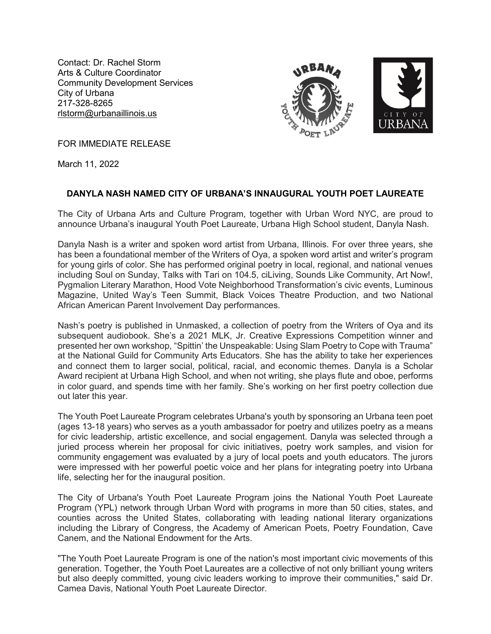Contact: Dr. Rachel Storm Arts & Culture Coordinator Community Development Services City of Urbana 217-328-8265 rlstorm@urbanaillinois.us



FOR IMMEDIATE RELEASE

March 11, 2022

## **DANYLA NASH NAMED CITY OF URBANA'S INNAUGURAL YOUTH POET LAUREATE**

The City of Urbana Arts and Culture Program, together with Urban Word NYC, are proud to announce Urbana's inaugural Youth Poet Laureate, Urbana High School student, Danyla Nash.

Danyla Nash is a writer and spoken word artist from Urbana, Illinois. For over three years, she has been a foundational member of the Writers of Oya, a spoken word artist and writer's program for young girls of color. She has performed original poetry in local, regional, and national venues including Soul on Sunday, Talks with Tari on 104.5, ciLiving, Sounds Like Community, Art Now!, Pygmalion Literary Marathon, Hood Vote Neighborhood Transformation's civic events, Luminous Magazine, United Way's Teen Summit, Black Voices Theatre Production, and two National African American Parent Involvement Day performances.

Nash's poetry is published in Unmasked, a collection of poetry from the Writers of Oya and its subsequent audiobook. She's a 2021 MLK, Jr. Creative Expressions Competition winner and presented her own workshop, "Spittin' the Unspeakable: Using Slam Poetry to Cope with Trauma" at the National Guild for Community Arts Educators. She has the ability to take her experiences and connect them to larger social, political, racial, and economic themes. Danyla is a Scholar Award recipient at Urbana High School, and when not writing, she plays flute and oboe, performs in color guard, and spends time with her family. She's working on her first poetry collection due out later this year.

The Youth Poet Laureate Program celebrates Urbana's youth by sponsoring an Urbana teen poet (ages 13-18 years) who serves as a youth ambassador for poetry and utilizes poetry as a means for civic leadership, artistic excellence, and social engagement. Danyla was selected through a juried process wherein her proposal for civic initiatives, poetry work samples, and vision for community engagement was evaluated by a jury of local poets and youth educators. The jurors were impressed with her powerful poetic voice and her plans for integrating poetry into Urbana life, selecting her for the inaugural position.

The City of Urbana's Youth Poet Laureate Program joins the National Youth Poet Laureate Program (YPL) network through Urban Word with programs in more than 50 cities, states, and counties across the United States, collaborating with leading national literary organizations including the Library of Congress, the Academy of American Poets, Poetry Foundation, Cave Canem, and the National Endowment for the Arts.

"The Youth Poet Laureate Program is one of the nation's most important civic movements of this generation. Together, the Youth Poet Laureates are a collective of not only brilliant young writers but also deeply committed, young civic leaders working to improve their communities," said Dr. Camea Davis, National Youth Poet Laureate Director.